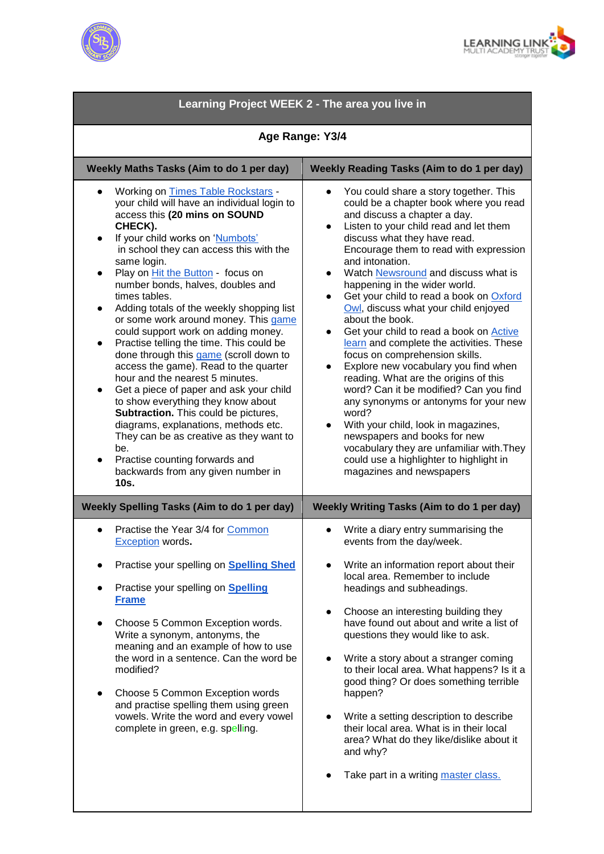



| Learning Project WEEK 2 - The area you live in                                                                                                                                                                                                                                                                                                                                                                                                                                                                                                                                                                                                                                                                                                                                                                                                                                                                                                                                                               |                                                                                                                                                                                                                                                                                                                                                                                                                                                                                                                                                                                                                                                                                                                                                                                                                                                                                                                                                                                                   |
|--------------------------------------------------------------------------------------------------------------------------------------------------------------------------------------------------------------------------------------------------------------------------------------------------------------------------------------------------------------------------------------------------------------------------------------------------------------------------------------------------------------------------------------------------------------------------------------------------------------------------------------------------------------------------------------------------------------------------------------------------------------------------------------------------------------------------------------------------------------------------------------------------------------------------------------------------------------------------------------------------------------|---------------------------------------------------------------------------------------------------------------------------------------------------------------------------------------------------------------------------------------------------------------------------------------------------------------------------------------------------------------------------------------------------------------------------------------------------------------------------------------------------------------------------------------------------------------------------------------------------------------------------------------------------------------------------------------------------------------------------------------------------------------------------------------------------------------------------------------------------------------------------------------------------------------------------------------------------------------------------------------------------|
| Age Range: Y3/4                                                                                                                                                                                                                                                                                                                                                                                                                                                                                                                                                                                                                                                                                                                                                                                                                                                                                                                                                                                              |                                                                                                                                                                                                                                                                                                                                                                                                                                                                                                                                                                                                                                                                                                                                                                                                                                                                                                                                                                                                   |
| Weekly Maths Tasks (Aim to do 1 per day)                                                                                                                                                                                                                                                                                                                                                                                                                                                                                                                                                                                                                                                                                                                                                                                                                                                                                                                                                                     | <b>Weekly Reading Tasks (Aim to do 1 per day)</b>                                                                                                                                                                                                                                                                                                                                                                                                                                                                                                                                                                                                                                                                                                                                                                                                                                                                                                                                                 |
| Working on Times Table Rockstars -<br>$\bullet$<br>your child will have an individual login to<br>access this (20 mins on SOUND<br>CHECK).<br>If your child works on 'Numbots'<br>in school they can access this with the<br>same login.<br>Play on <i>Hit the Button</i> - focus on<br>$\bullet$<br>number bonds, halves, doubles and<br>times tables.<br>Adding totals of the weekly shopping list<br>$\bullet$<br>or some work around money. This game<br>could support work on adding money.<br>Practise telling the time. This could be<br>$\bullet$<br>done through this game (scroll down to<br>access the game). Read to the quarter<br>hour and the nearest 5 minutes.<br>Get a piece of paper and ask your child<br>$\bullet$<br>to show everything they know about<br>Subtraction. This could be pictures,<br>diagrams, explanations, methods etc.<br>They can be as creative as they want to<br>be.<br>Practise counting forwards and<br>$\bullet$<br>backwards from any given number in<br>10s. | You could share a story together. This<br>could be a chapter book where you read<br>and discuss a chapter a day.<br>Listen to your child read and let them<br>discuss what they have read.<br>Encourage them to read with expression<br>and intonation.<br>Watch Newsround and discuss what is<br>$\bullet$<br>happening in the wider world.<br>Get your child to read a book on Oxford<br>$\bullet$<br>Owl, discuss what your child enjoyed<br>about the book.<br>Get your child to read a book on <b>Active</b><br>$\bullet$<br>learn and complete the activities. These<br>focus on comprehension skills.<br>Explore new vocabulary you find when<br>reading. What are the origins of this<br>word? Can it be modified? Can you find<br>any synonyms or antonyms for your new<br>word?<br>With your child, look in magazines,<br>$\bullet$<br>newspapers and books for new<br>vocabulary they are unfamiliar with. They<br>could use a highlighter to highlight in<br>magazines and newspapers |
| <b>Weekly Spelling Tasks (Aim to do 1 per day)</b>                                                                                                                                                                                                                                                                                                                                                                                                                                                                                                                                                                                                                                                                                                                                                                                                                                                                                                                                                           | Weekly Writing Tasks (Aim to do 1 per day)                                                                                                                                                                                                                                                                                                                                                                                                                                                                                                                                                                                                                                                                                                                                                                                                                                                                                                                                                        |
| Practise the Year 3/4 for Common<br>Exception words.<br>Practise your spelling on Spelling Shed<br>Practise your spelling on <b>Spelling</b><br><b>Frame</b><br>Choose 5 Common Exception words.<br>Write a synonym, antonyms, the<br>meaning and an example of how to use<br>the word in a sentence. Can the word be<br>modified?<br>Choose 5 Common Exception words<br>and practise spelling them using green<br>vowels. Write the word and every vowel<br>complete in green, e.g. spelling.                                                                                                                                                                                                                                                                                                                                                                                                                                                                                                               | Write a diary entry summarising the<br>events from the day/week.<br>Write an information report about their<br>local area. Remember to include<br>headings and subheadings.<br>Choose an interesting building they<br>have found out about and write a list of<br>questions they would like to ask.<br>Write a story about a stranger coming<br>to their local area. What happens? Is it a<br>good thing? Or does something terrible<br>happen?<br>Write a setting description to describe<br>their local area. What is in their local<br>area? What do they like/dislike about it<br>and why?                                                                                                                                                                                                                                                                                                                                                                                                    |
|                                                                                                                                                                                                                                                                                                                                                                                                                                                                                                                                                                                                                                                                                                                                                                                                                                                                                                                                                                                                              | Take part in a writing master class.                                                                                                                                                                                                                                                                                                                                                                                                                                                                                                                                                                                                                                                                                                                                                                                                                                                                                                                                                              |